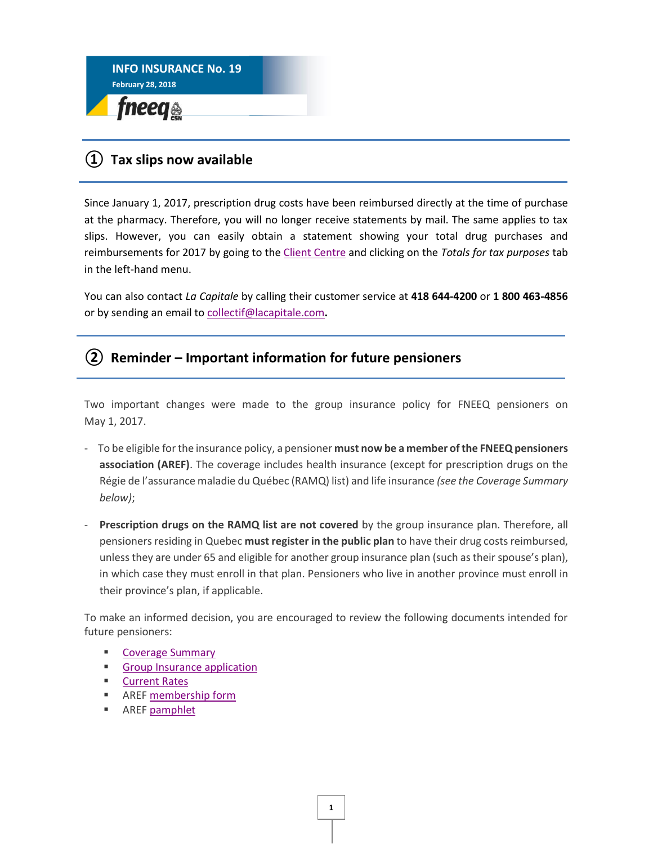

## **① Tax slips now available**

Since January 1, 2017, prescription drug costs have been reimbursed directly at the time of purchase at the pharmacy. Therefore, you will no longer receive statements by mail. The same applies to tax slips. However, you can easily obtain a statement showing your total drug purchases and reimbursements for 2017 by going to the [Client Centre](https://capdirect.lacapitale.com/capdirect/jspx/authentification/authen1.jspx?locale=en) and clicking on the *Totals for tax purposes* tab in the left-hand menu.

You can also contact *La Capitale* by calling their customer service at **418 644-4200** or **1 800 463-4856**  or by sending an email to [collectif@lacapitale.com](mailto:collectif@lacapitale.com)**.** 

## **② Reminder – Important information for future pensioners**

Two important changes were made to the group insurance policy for FNEEQ pensioners on May 1, 2017.

- To be eligible for the insurance policy, a pensioner **must now be a member of the FNEEQ pensioners association (AREF)**. The coverage includes health insurance (except for prescription drugs on the Régie de l'assurance maladie du Québec (RAMQ) list) and life insurance *(see the Coverage Summary below)*;
- **Prescription drugs on the RAMQ list are not covered** by the group insurance plan. Therefore, all pensioners residing in Quebec **must register in the public plan** to have their drug costs reimbursed, unless they are under 65 and eligible for another group insurance plan (such as their spouse's plan), in which case they must enroll in that plan. Pensioners who live in another province must enroll in their province's plan, if applicable.

To make an informed decision, you are encouraged to review the following documents intended for future pensioners:

- **E** [Coverage Summary](https://www.lacapitale.com/files/live/sites/lacapitale/files/contributed/collectif/en/pdf/Schedule_of_coverage_001011_201801.pdf)
- [Group Insurance application](https://www.lacapitale.com/files/live/sites/lacapitale/files/contributed/collectif/en/pdf/C1011_0a_application_modification_to_group_insurance_201705_dynamique.pdf)
- [Current Rates](https://www.lacapitale.com/files/live/sites/lacapitale/files/contributed/collectif/en/pdf/Leaflet_001011_rates_201801.pdf)
- AREF [membership form](http://fneeq.qc.ca/wp-content/uploads/no-16_FormInscription-AN_AREF.pdf)
- AREF [pamphlet](http://fneeq.qc.ca/wp-content/uploads/no-16_Depliant-AN_AREF.pdf)